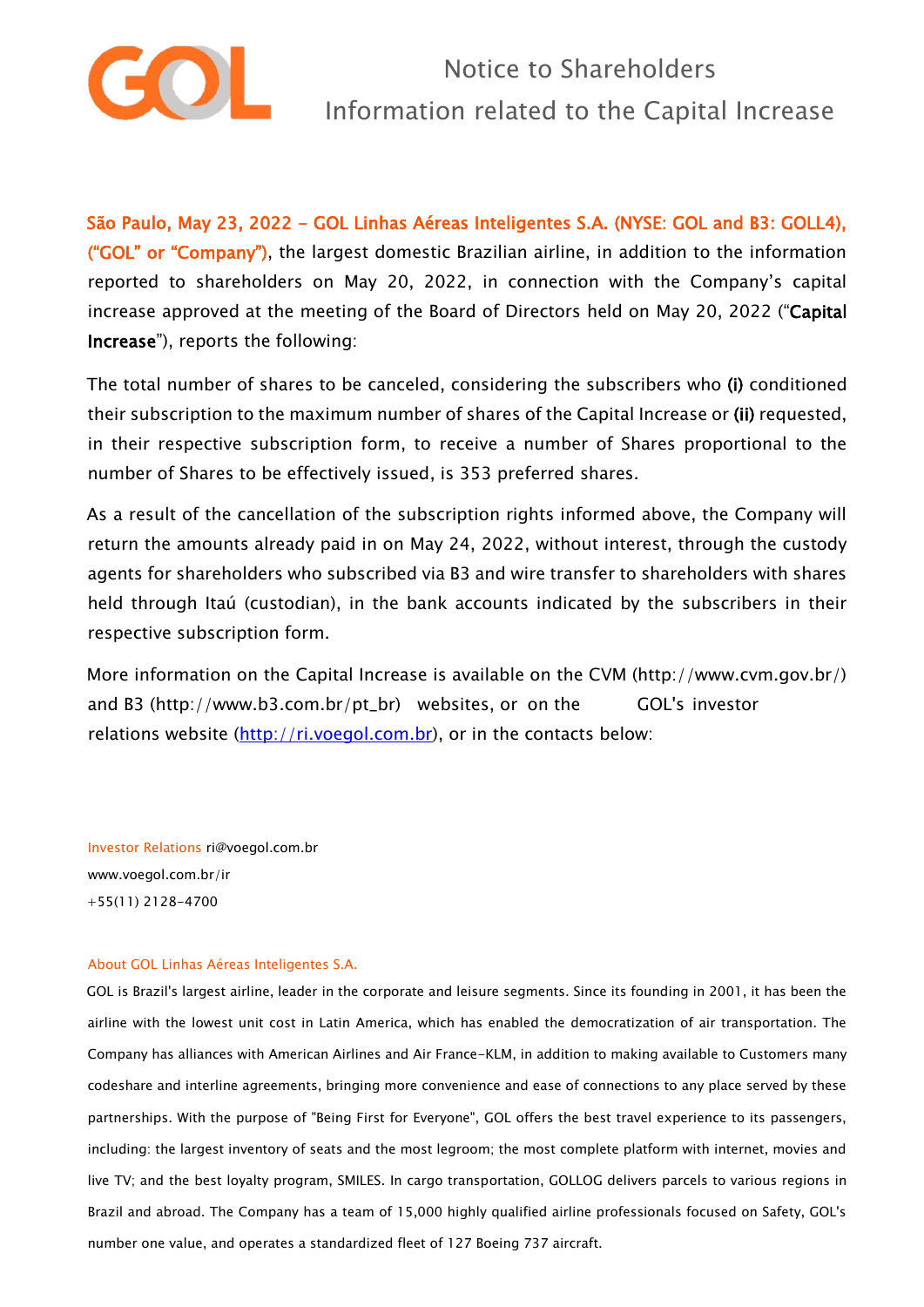

São Paulo, May 23, 2022 - GOL Linhas Aéreas Inteligentes S.A. (NYSE: GOL and B3: GOLL4), ("GOL" or "Company"), the largest domestic Brazilian airline, in addition to the information reported to shareholders on May 20, 2022, in connection with the Company's capital increase approved at the meeting of the Board of Directors held on May 20, 2022 ("Capital Increase"), reports the following:

The total number of shares to be canceled, considering the subscribers who (i) conditioned their subscription to the maximum number of shares of the Capital Increase or (ii) requested, in their respective subscription form, to receive a number of Shares proportional to the number of Shares to be effectively issued, is 353 preferred shares.

As a result of the cancellation of the subscription rights informed above, the Company will return the amounts already paid in on May 24, 2022, without interest, through the custody agents for shareholders who subscribed via B3 and wire transfer to shareholders with shares held through Itaú (custodian), in the bank accounts indicated by the subscribers in their respective subscription form.

More information on the Capital Increase is available on the CVM (http://www.cvm.gov.br/) and B3 (http://www.b3.com.br/pt\_br) websites, or on the GOL's investor relations website [\(http://ri.voegol.com.br\),](http://ri.voegol.com.br/) or in the contacts below:

Investor Relations ri@voegol.com.br www.voegol.com.br/ir +55(11) 2128-4700

## About GOL Linhas Aéreas Inteligentes S.A.

GOL is Brazil's largest airline, leader in the corporate and leisure segments. Since its founding in 2001, it has been the airline with the lowest unit cost in Latin America, which has enabled the democratization of air transportation. The Company has alliances with American Airlines and Air France-KLM, in addition to making available to Customers many codeshare and interline agreements, bringing more convenience and ease of connections to any place served by these partnerships. With the purpose of "Being First for Everyone", GOL offers the best travel experience to its passengers, including: the largest inventory of seats and the most legroom; the most complete platform with internet, movies and live TV; and the best loyalty program, SMILES. In cargo transportation, GOLLOG delivers parcels to various regions in Brazil and abroad. The Company has a team of 15,000 highly qualified airline professionals focused on Safety, GOL's number one value, and operates a standardized fleet of 127 Boeing 737 aircraft.